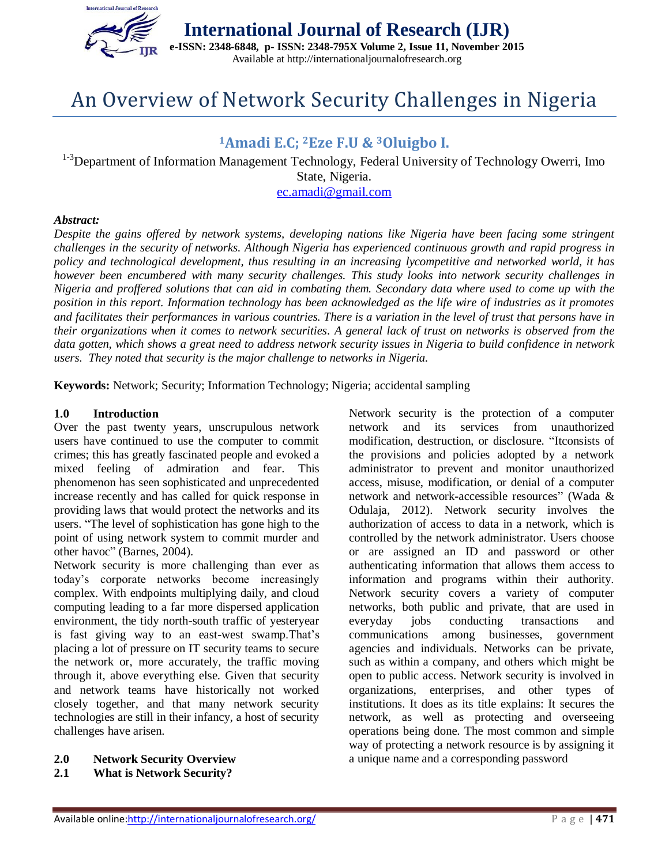

# An Overview of Network Security Challenges in Nigeria

## **<sup>1</sup>Amadi E.C; <sup>2</sup>Eze F.U & <sup>3</sup>Oluigbo I.**

<sup>1-3</sup>Department of Information Management Technology, Federal University of Technology Owerri, Imo State, Nigeria. [ec.amadi@gmail.com](mailto:ec.amadi@gmail.com)

#### *Abstract:*

*Despite the gains offered by network systems, developing nations like Nigeria have been facing some stringent challenges in the security of networks. Although Nigeria has experienced continuous growth and rapid progress in policy and technological development, thus resulting in an increasing lycompetitive and networked world, it has however been encumbered with many security challenges. This study looks into network security challenges in Nigeria and proffered solutions that can aid in combating them. Secondary data where used to come up with the position in this report. Information technology has been acknowledged as the life wire of industries as it promotes and facilitates their performances in various countries. There is a variation in the level of trust that persons have in their organizations when it comes to network securities. A general lack of trust on networks is observed from the data gotten, which shows a great need to address network security issues in Nigeria to build confidence in network users. They noted that security is the major challenge to networks in Nigeria.*

**Keywords:** Network; Security; Information Technology; Nigeria; accidental sampling

### **1.0 Introduction**

Over the past twenty years, unscrupulous network users have continued to use the computer to commit crimes; this has greatly fascinated people and evoked a mixed feeling of admiration and fear. This phenomenon has seen sophisticated and unprecedented increase recently and has called for quick response in providing laws that would protect the networks and its users. "The level of sophistication has gone high to the point of using network system to commit murder and other havoc" (Barnes, 2004).

Network security is more challenging than ever as today's corporate networks become increasingly complex. With endpoints multiplying daily, and cloud computing leading to a far more dispersed application environment, the tidy north-south traffic of yesteryear is fast giving way to an east-west swamp.That's placing a lot of pressure on IT security teams to secure the network or, more accurately, the traffic moving through it, above everything else. Given that security and network teams have historically not worked closely together, and that many network security technologies are still in their infancy, a host of security challenges have arisen.

**2.0 Network Security Overview** 

## **2.1 What is Network Security?**

Network security is the protection of a computer network and its services from unauthorized modification, destruction, or disclosure. "Itconsists of the provisions and policies adopted by a network administrator to prevent and monitor unauthorized access, misuse, modification, or denial of a computer network and network-accessible resources" (Wada & Odulaja, 2012). Network security involves the authorization of access to data in a network, which is controlled by the network administrator. Users choose or are assigned an ID and password or other authenticating information that allows them access to information and programs within their authority. Network security covers a variety of computer networks, both public and private, that are used in everyday jobs conducting transactions and communications among businesses, government agencies and individuals. Networks can be private, such as within a company, and others which might be open to public access. Network security is involved in organizations, enterprises, and other types of institutions. It does as its title explains: It secures the network, as well as protecting and overseeing operations being done. The most common and simple way of protecting a network resource is by assigning it a unique name and a corresponding password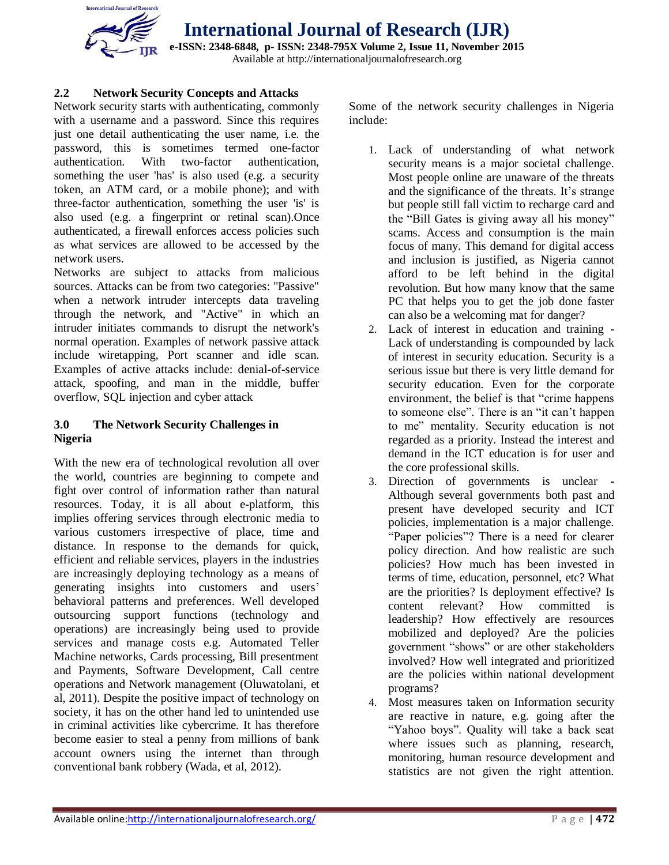

## **2.2 Network Security Concepts and Attacks**

Network security starts with authenticating, commonly with a username and a password. Since this requires just one detail authenticating the user name, i.e. the password, this is sometimes termed one-factor authentication. With two-factor authentication, something the user 'has' is also used (e.g. a [security](http://en.wikipedia.org/wiki/Security_token)  [token,](http://en.wikipedia.org/wiki/Security_token) an [ATM card,](http://en.wikipedia.org/wiki/ATM_card) or a [mobile phone\)](http://en.wikipedia.org/wiki/Mobile_phone); and with three-factor authentication, something the user 'is' is also used (e.g. a [fingerprint](http://en.wikipedia.org/wiki/Fingerprint) or [retinal scan\)](http://en.wikipedia.org/wiki/Retinal_scan).Once authenticated, a [firewall](http://en.wikipedia.org/wiki/Firewall_(networking)) enforces access policies such as what services are allowed to be accessed by the network users.

Networks are subject to attacks from malicious sources. Attacks can be from two categories: "Passive" when a network intruder intercepts data traveling through the network, and "Active" in which an intruder initiates commands to disrupt the network's normal operation. Examples of network passive attack include wiretapping, Port scanner and idle scan. Examples of active attacks include: denial-of-service attack, spoofing, and man in the middle, buffer overflow, SQL injection and cyber attack

## **3.0 The Network Security Challenges in Nigeria**

With the new era of technological revolution all over the world, countries are beginning to compete and fight over control of information rather than natural resources. Today, it is all about e-platform, this implies offering services through electronic media to various customers irrespective of place, time and distance. In response to the demands for quick, efficient and reliable services, players in the industries are increasingly deploying technology as a means of generating insights into customers and users' behavioral patterns and preferences. Well developed outsourcing support functions (technology and operations) are increasingly being used to provide services and manage costs e.g. Automated Teller Machine networks, Cards processing, Bill presentment and Payments, Software Development, Call centre operations and Network management (Oluwatolani, et al, 2011). Despite the positive impact of technology on society, it has on the other hand led to unintended use in criminal activities like cybercrime. It has therefore become easier to steal a penny from millions of bank account owners using the internet than through conventional bank robbery (Wada, et al, 2012).

Some of the network security challenges in Nigeria include:

- 1. Lack of understanding of what network security means is a major societal challenge. Most people online are unaware of the threats and the significance of the threats. It's strange but people still fall victim to recharge card and the "Bill Gates is giving away all his money" scams. Access and consumption is the main focus of many. This demand for digital access and inclusion is justified, as Nigeria cannot afford to be left behind in the digital revolution. But how many know that the same PC that helps you to get the job done faster can also be a welcoming mat for danger?
- 2. Lack of interest in education and training **-** Lack of understanding is compounded by lack of interest in security education. Security is a serious issue but there is very little demand for security education. Even for the corporate environment, the belief is that "crime happens to someone else". There is an "it can't happen to me" mentality. Security education is not regarded as a priority. Instead the interest and demand in the ICT education is for user and the core professional skills.
- 3. Direction of governments is unclear **-** Although several governments both past and present have developed security and ICT policies, implementation is a major challenge. "Paper policies"? There is a need for clearer policy direction. And how realistic are such policies? How much has been invested in terms of time, education, personnel, etc? What are the priorities? Is deployment effective? Is content relevant? How committed is leadership? How effectively are resources mobilized and deployed? Are the policies government "shows" or are other stakeholders involved? How well integrated and prioritized are the policies within national development programs?
- 4. Most measures taken on Information security are reactive in nature, e.g. going after the "Yahoo boys". Quality will take a back seat where issues such as planning, research, monitoring, human resource development and statistics are not given the right attention.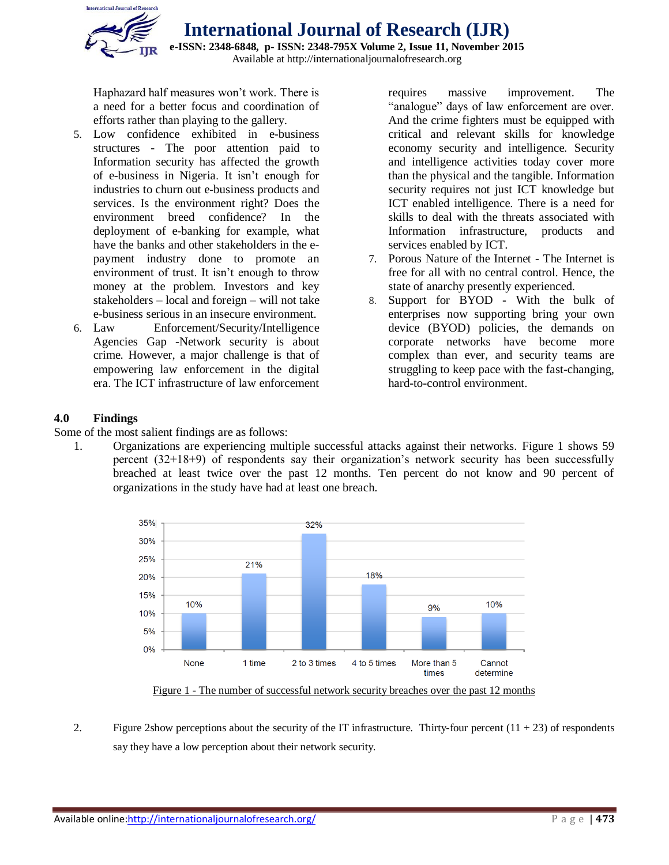

**International Journal of Research (IJR) e-ISSN: 2348-6848, p- ISSN: 2348-795X Volume 2, Issue 11, November 2015** Available at http://internationaljournalofresearch.org

Haphazard half measures won't work. There is a need for a better focus and coordination of efforts rather than playing to the gallery.

- 5. Low confidence exhibited in e-business structures **-** The poor attention paid to Information security has affected the growth of e-business in Nigeria. It isn't enough for industries to churn out e-business products and services. Is the environment right? Does the environment breed confidence? In the deployment of e-banking for example, what have the banks and other stakeholders in the epayment industry done to promote an environment of trust. It isn't enough to throw money at the problem. Investors and key stakeholders – local and foreign – will not take e-business serious in an insecure environment.
- 6. Law Enforcement/Security/Intelligence Agencies Gap -Network security is about crime. However, a major challenge is that of empowering law enforcement in the digital era. The ICT infrastructure of law enforcement

requires massive improvement. The "analogue" days of law enforcement are over. And the crime fighters must be equipped with critical and relevant skills for knowledge economy security and intelligence. Security and intelligence activities today cover more than the physical and the tangible. Information security requires not just ICT knowledge but ICT enabled intelligence. There is a need for skills to deal with the threats associated with Information infrastructure, products and services enabled by ICT.

- 7. Porous Nature of the Internet The Internet is free for all with no central control. Hence, the state of anarchy presently experienced.
- 8. Support for BYOD With the bulk of enterprises now supporting bring your own device (BYOD) policies, the demands on corporate networks have become more complex than ever, and security teams are struggling to keep pace with the fast-changing, hard-to-control environment.

## **4.0 Findings**

Some of the most salient findings are as follows:

1. Organizations are experiencing multiple successful attacks against their networks. Figure 1 shows 59 percent (32+18+9) of respondents say their organization's network security has been successfully breached at least twice over the past 12 months. Ten percent do not know and 90 percent of organizations in the study have had at least one breach.



Figure 1 - The number of successful network security breaches over the past 12 months

2. Figure 2show perceptions about the security of the IT infrastructure. Thirty-four percent  $(11 + 23)$  of respondents say they have a low perception about their network security.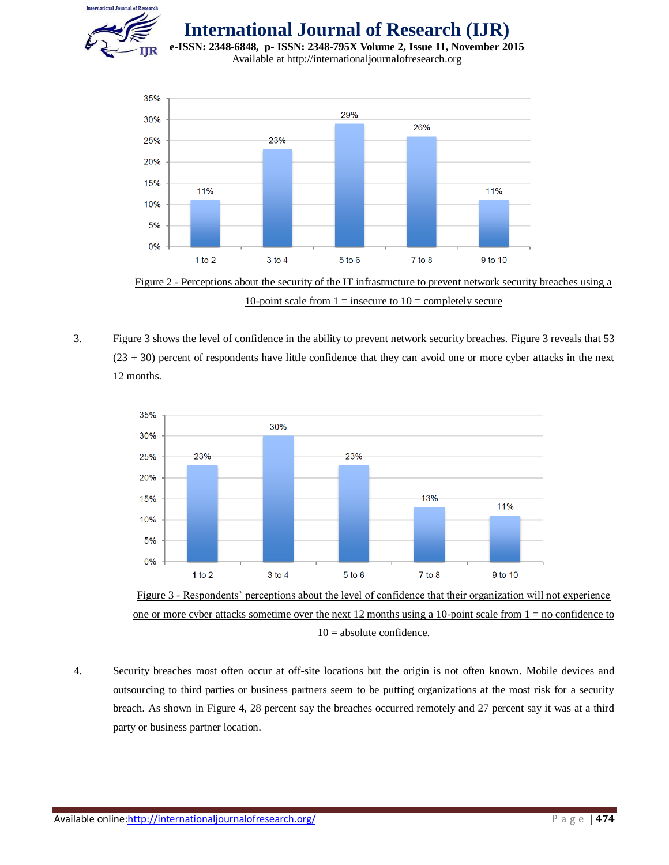

**International Journal of Research (IJR)**

**e-ISSN: 2348-6848, p- ISSN: 2348-795X Volume 2, Issue 11, November 2015** Available at http://internationaljournalofresearch.org



Figure 2 - Perceptions about the security of the IT infrastructure to prevent network security breaches using a 10-point scale from  $1 =$  insecure to  $10 =$  completely secure

3. Figure 3 shows the level of confidence in the ability to prevent network security breaches. Figure 3 reveals that 53 (23 + 30) percent of respondents have little confidence that they can avoid one or more cyber attacks in the next 12 months.





4. Security breaches most often occur at off-site locations but the origin is not often known. Mobile devices and outsourcing to third parties or business partners seem to be putting organizations at the most risk for a security breach. As shown in Figure 4, 28 percent say the breaches occurred remotely and 27 percent say it was at a third party or business partner location.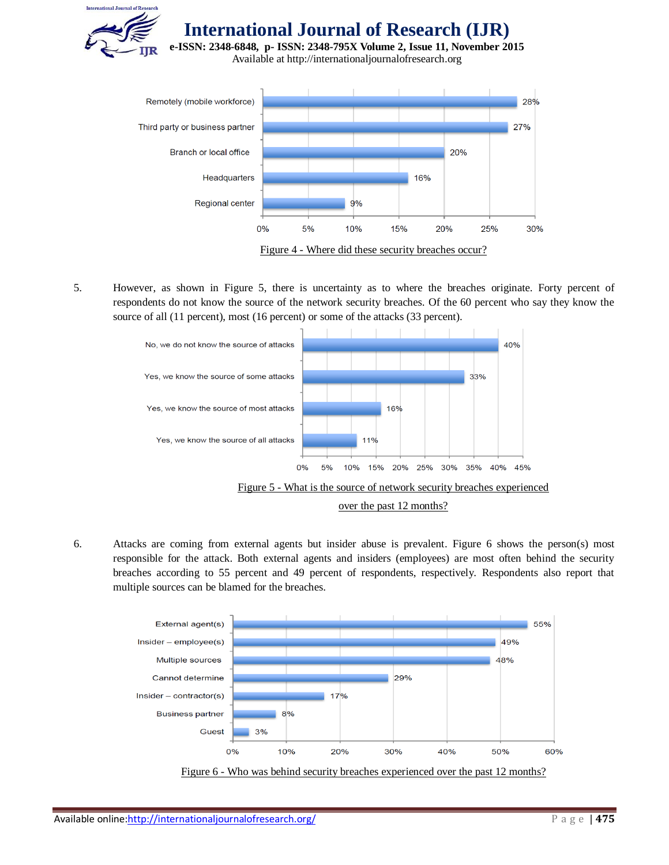



5. However, as shown in Figure 5, there is uncertainty as to where the breaches originate. Forty percent of respondents do not know the source of the network security breaches. Of the 60 percent who say they know the source of all (11 percent), most (16 percent) or some of the attacks (33 percent).



6. Attacks are coming from external agents but insider abuse is prevalent. Figure 6 shows the person(s) most responsible for the attack. Both external agents and insiders (employees) are most often behind the security breaches according to 55 percent and 49 percent of respondents, respectively. Respondents also report that multiple sources can be blamed for the breaches.



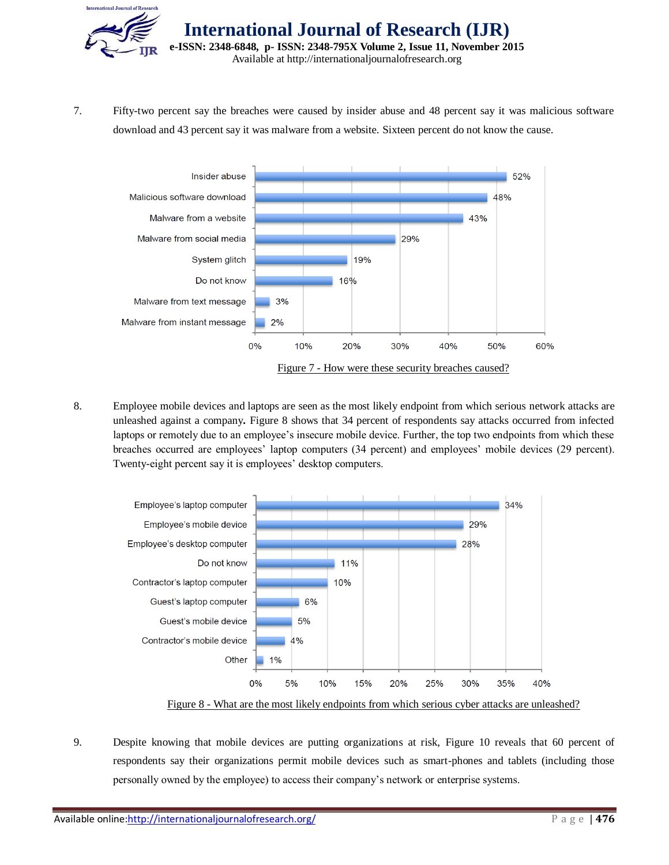

7. Fifty-two percent say the breaches were caused by insider abuse and 48 percent say it was malicious software download and 43 percent say it was malware from a website. Sixteen percent do not know the cause.



8. Employee mobile devices and laptops are seen as the most likely endpoint from which serious network attacks are unleashed against a company**.** Figure 8 shows that 34 percent of respondents say attacks occurred from infected laptops or remotely due to an employee's insecure mobile device. Further, the top two endpoints from which these breaches occurred are employees' laptop computers (34 percent) and employees' mobile devices (29 percent). Twenty-eight percent say it is employees' desktop computers.



9. Despite knowing that mobile devices are putting organizations at risk, Figure 10 reveals that 60 percent of respondents say their organizations permit mobile devices such as smart-phones and tablets (including those personally owned by the employee) to access their company's network or enterprise systems.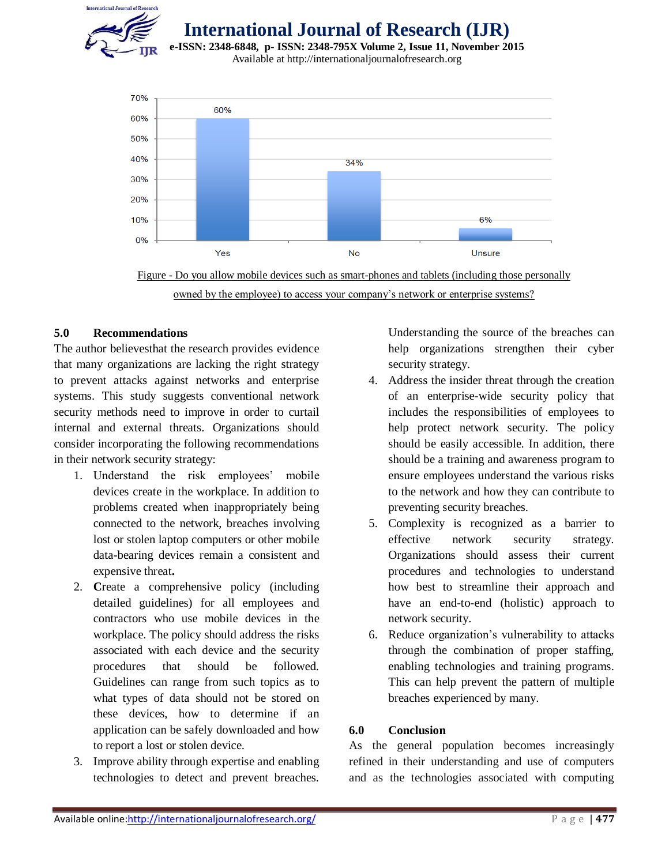

**International Journal of Research (IJR)**

**e-ISSN: 2348-6848, p- ISSN: 2348-795X Volume 2, Issue 11, November 2015** Available at http://internationaljournalofresearch.org





## **5.0 Recommendations**

The author believesthat the research provides evidence that many organizations are lacking the right strategy to prevent attacks against networks and enterprise systems. This study suggests conventional network security methods need to improve in order to curtail internal and external threats. Organizations should consider incorporating the following recommendations in their network security strategy:

- 1. Understand the risk employees' mobile devices create in the workplace. In addition to problems created when inappropriately being connected to the network, breaches involving lost or stolen laptop computers or other mobile data-bearing devices remain a consistent and expensive threat**.**
- 2. **C**reate a comprehensive policy (including detailed guidelines) for all employees and contractors who use mobile devices in the workplace. The policy should address the risks associated with each device and the security procedures that should be followed. Guidelines can range from such topics as to what types of data should not be stored on these devices, how to determine if an application can be safely downloaded and how to report a lost or stolen device.
- 3. Improve ability through expertise and enabling technologies to detect and prevent breaches.

Understanding the source of the breaches can help organizations strengthen their cyber security strategy.

- 4. Address the insider threat through the creation of an enterprise-wide security policy that includes the responsibilities of employees to help protect network security. The policy should be easily accessible. In addition, there should be a training and awareness program to ensure employees understand the various risks to the network and how they can contribute to preventing security breaches.
- 5. Complexity is recognized as a barrier to effective network security strategy. Organizations should assess their current procedures and technologies to understand how best to streamline their approach and have an end-to-end (holistic) approach to network security.
- 6. Reduce organization's vulnerability to attacks through the combination of proper staffing, enabling technologies and training programs. This can help prevent the pattern of multiple breaches experienced by many.

## **6.0 Conclusion**

As the general population becomes increasingly refined in their understanding and use of computers and as the technologies associated with computing